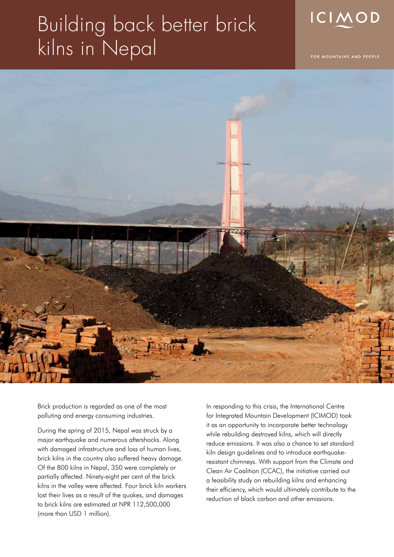## Building back better brick kilns in Nepal



FOR MOUNTAINS AND PEOPLE



Brick production is regarded as one of the most polluting and energy consuming industries.

During the spring of 2015, Nepal was struck by a major earthquake and numerous aftershocks. Along with damaged infrastructure and loss of human lives, brick kilns in the country also suffered heavy damage. Of the 800 kilns in Nepal, 350 were completely or partially affected. Ninety-eight per cent of the brick kilns in the valley were affected. Four brick kiln workers lost their lives as a result of the quakes, and damages to brick kilns are estimated at NPR 112,500,000 (more than USD 1 million).

In responding to this crisis, the International Centre for Integrated Mountain Development (ICIMOD) took it as an opportunity to incorporate better technology while rebuilding destroyed kilns, which will directly reduce emissions. It was also a chance to set standard kiln design guidelines and to introduce earthquakeresistant chimneys. With support from the Climate and Clean Air Coalition (CCAC), the initiative carried out a feasibility study on rebuilding kilns and enhancing their efficiency, which would ultimately contribute to the reduction of black carbon and other emissions.